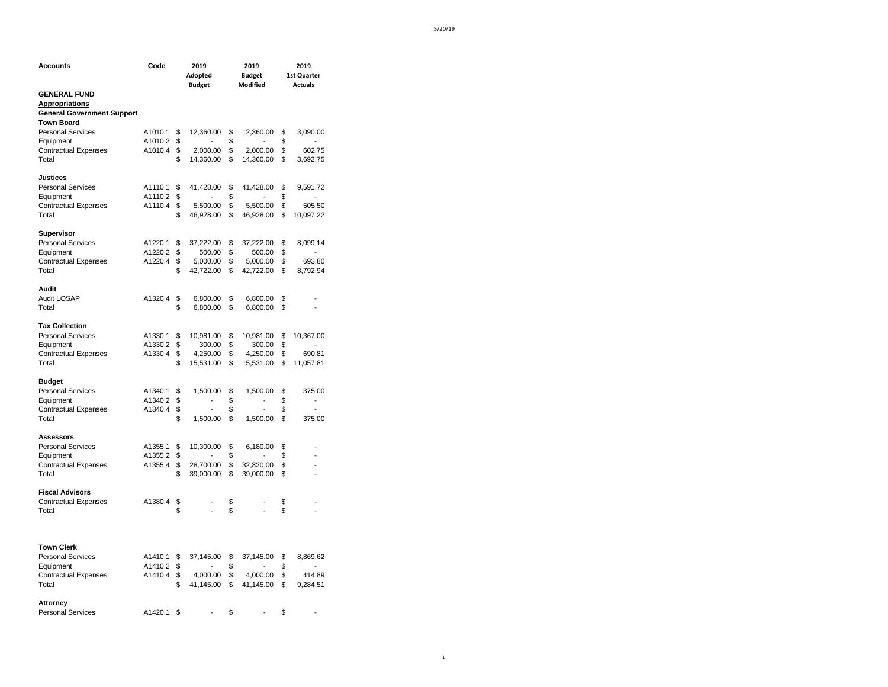| <b>Accounts</b>                   | Code    | 2019<br>Adopted<br><b>Budget</b> | 2019<br><b>Budget</b><br>Modified |                | 2019<br>1st Quarter<br><b>Actuals</b> |                              |
|-----------------------------------|---------|----------------------------------|-----------------------------------|----------------|---------------------------------------|------------------------------|
| <b>GENERAL FUND</b>               |         |                                  |                                   |                |                                       |                              |
| <b>Appropriations</b>             |         |                                  |                                   |                |                                       |                              |
| <b>General Government Support</b> |         |                                  |                                   |                |                                       |                              |
|                                   |         |                                  |                                   |                |                                       |                              |
| <b>Town Board</b>                 |         |                                  |                                   |                |                                       |                              |
| <b>Personal Services</b>          | A1010.1 | \$<br>12,360.00                  | \$                                | 12,360.00      | \$                                    | 3,090.00                     |
| Equipment                         | A1010.2 | \$                               | \$                                |                | \$                                    | $\overline{\phantom{a}}$     |
| <b>Contractual Expenses</b>       | A1010.4 | \$<br>2,000.00                   | \$                                | 2,000.00       | \$                                    | 602.75                       |
| Total                             |         | \$<br>14,360.00                  | \$                                | 14,360.00      | \$                                    | 3,692.75                     |
| <b>Justices</b>                   |         |                                  |                                   |                |                                       |                              |
| <b>Personal Services</b>          | A1110.1 | \$<br>41,428.00                  | \$                                | 41,428.00      | \$                                    | 9,591.72                     |
| Equipment                         | A1110.2 | \$<br>$\overline{a}$             | \$                                | $\overline{a}$ | \$                                    | $\overline{a}$               |
| <b>Contractual Expenses</b>       | A1110.4 | \$<br>5,500.00                   | \$                                | 5,500.00       | \$                                    | 505.50                       |
| Total                             |         | \$<br>46,928.00                  | \$                                | 46,928.00      | \$                                    | 10,097.22                    |
|                                   |         |                                  |                                   |                |                                       |                              |
| Supervisor                        |         |                                  |                                   |                |                                       |                              |
| <b>Personal Services</b>          | A1220.1 | \$<br>37,222.00                  | \$                                | 37,222.00      | \$                                    | 8,099.14                     |
| Equipment                         | A1220.2 | \$<br>500.00                     | \$                                | 500.00         | \$                                    | $\overline{a}$               |
| <b>Contractual Expenses</b>       | A1220.4 | \$<br>5,000.00                   | \$                                | 5,000.00       | \$                                    | 693.80                       |
| Total                             |         | \$<br>42,722.00                  | \$                                | 42,722.00      | \$                                    | 8,792.94                     |
|                                   |         |                                  |                                   |                |                                       |                              |
| Audit                             |         |                                  |                                   |                |                                       |                              |
| Audit LOSAP                       | A1320.4 | \$<br>6,800.00                   | \$                                | 6,800.00       | \$                                    |                              |
| Total                             |         | \$<br>6,800.00                   | \$                                | 6,800.00       | \$                                    | ä,                           |
| <b>Tax Collection</b>             |         |                                  |                                   |                |                                       |                              |
| <b>Personal Services</b>          | A1330.1 | \$<br>10,981.00                  | \$                                | 10,981.00      | \$                                    | 10,367.00                    |
| Equipment                         | A1330.2 | \$<br>300.00                     | \$                                | 300.00         | \$                                    | $\overline{\phantom{0}}$     |
| <b>Contractual Expenses</b>       | A1330.4 | \$<br>4,250.00                   | \$                                | 4,250.00       | \$                                    | 690.81                       |
|                                   |         | \$                               |                                   |                |                                       |                              |
| Total                             |         | 15,531.00                        | \$                                | 15,531.00      | \$                                    | 11,057.81                    |
| <b>Budget</b>                     |         |                                  |                                   |                |                                       |                              |
| <b>Personal Services</b>          | A1340.1 | \$<br>1,500.00                   | \$                                | 1,500.00       | \$                                    | 375.00                       |
| Equipment                         | A1340.2 | \$<br>$\overline{\phantom{a}}$   | \$                                | -              | \$                                    | $\qquad \qquad \blacksquare$ |
| <b>Contractual Expenses</b>       | A1340.4 | \$<br>$\overline{a}$             | \$                                | $\overline{a}$ | \$                                    | $\overline{a}$               |
| Total                             |         | \$<br>1,500.00                   | \$                                | 1,500.00       | \$                                    | 375.00                       |
|                                   |         |                                  |                                   |                |                                       |                              |
| <b>Assessors</b>                  |         |                                  |                                   |                |                                       |                              |
| <b>Personal Services</b>          | A1355.1 | \$<br>10,300.00                  | \$                                | 6,180.00       | \$                                    |                              |
| Equipment                         | A1355.2 | \$                               | \$                                |                | \$                                    |                              |
| <b>Contractual Expenses</b>       | A1355.4 | \$<br>28,700.00                  | \$                                | 32,820.00      | \$                                    |                              |
| Total                             |         | \$<br>39,000.00                  | \$                                | 39,000.00      | \$                                    |                              |
| <b>Fiscal Advisors</b>            |         |                                  |                                   |                |                                       |                              |
| <b>Contractual Expenses</b>       | A1380.4 | \$                               | \$                                |                | \$                                    |                              |
| Total                             |         | \$                               | \$                                |                | \$                                    |                              |
|                                   |         |                                  |                                   |                |                                       |                              |
| <b>Town Clerk</b>                 |         |                                  |                                   |                |                                       |                              |
|                                   |         |                                  |                                   |                |                                       |                              |
| <b>Personal Services</b>          | A1410.1 | \$<br>37,145.00                  | \$                                | 37,145.00      | \$                                    | 8,869.62                     |
| Equipment                         | A1410.2 | \$<br>$\overline{a}$             | \$                                | $\overline{a}$ | \$                                    | ÷,                           |
| <b>Contractual Expenses</b>       | A1410.4 | \$<br>4,000.00                   | \$                                | 4,000.00       | \$                                    | 414.89                       |
| Total                             |         | \$<br>41,145.00                  | \$                                | 41,145.00      | \$                                    | 9,284.51                     |
| <b>Attorney</b>                   |         |                                  |                                   |                |                                       |                              |
| <b>Personal Services</b>          | A1420.1 | \$                               | \$                                |                | \$                                    |                              |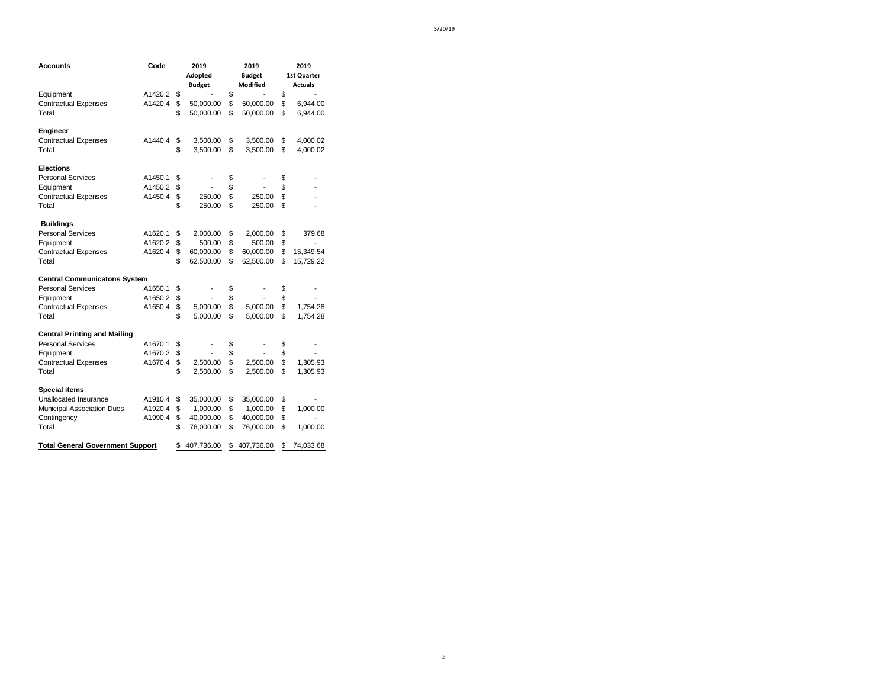| Accounts                                | Code    | 2019<br>Adopted  | 2019<br><b>Budget</b> | 2019<br>1st Quarter |
|-----------------------------------------|---------|------------------|-----------------------|---------------------|
|                                         |         | <b>Budget</b>    | Modified              | <b>Actuals</b>      |
| Equipment                               | A1420.2 | \$               | \$                    | \$                  |
| <b>Contractual Expenses</b>             | A1420.4 | \$<br>50,000.00  | \$<br>50,000.00       | \$<br>6,944.00      |
| Total                                   |         | \$<br>50,000.00  | \$<br>50,000.00       | \$<br>6,944.00      |
| Engineer                                |         |                  |                       |                     |
| <b>Contractual Expenses</b>             | A1440.4 | \$<br>3,500.00   | \$<br>3,500.00        | \$<br>4,000.02      |
| Total                                   |         | \$<br>3,500.00   | \$<br>3,500.00        | \$<br>4,000.02      |
| <b>Elections</b>                        |         |                  |                       |                     |
| <b>Personal Services</b>                | A1450.1 | \$               | \$                    | \$                  |
| Equipment                               | A1450.2 | \$               | \$                    | \$                  |
| <b>Contractual Expenses</b>             | A1450.4 | \$<br>250.00     | \$<br>250.00          | \$                  |
| Total                                   |         | \$<br>250.00     | \$<br>250.00          | \$                  |
| <b>Buildings</b>                        |         |                  |                       |                     |
| <b>Personal Services</b>                | A1620.1 | \$<br>2,000.00   | \$<br>2,000.00        | \$<br>379.68        |
| Equipment                               | A1620.2 | \$<br>500.00     | \$<br>500.00          | \$                  |
| <b>Contractual Expenses</b>             | A1620.4 | \$<br>60,000.00  | \$<br>60,000.00       | \$<br>15,349.54     |
| Total                                   |         | \$<br>62,500.00  | \$<br>62,500.00       | \$<br>15,729.22     |
| <b>Central Communicatons System</b>     |         |                  |                       |                     |
| <b>Personal Services</b>                | A1650.1 | \$               | \$                    | \$                  |
| Equipment                               | A1650.2 | \$               | \$                    | \$                  |
| <b>Contractual Expenses</b>             | A1650.4 | \$<br>5,000.00   | \$<br>5,000.00        | \$<br>1,754.28      |
| Total                                   |         | \$<br>5,000.00   | \$<br>5,000.00        | \$<br>1,754.28      |
| <b>Central Printing and Mailing</b>     |         |                  |                       |                     |
| <b>Personal Services</b>                | A1670.1 | \$               | \$                    | \$                  |
| Equipment                               | A1670.2 | \$               | \$                    | \$                  |
| <b>Contractual Expenses</b>             | A1670.4 | \$<br>2,500.00   | \$<br>2,500.00        | \$<br>1,305.93      |
| Total                                   |         | \$<br>2,500.00   | \$<br>2,500.00        | \$<br>1,305.93      |
| <b>Special items</b>                    |         |                  |                       |                     |
| Unallocated Insurance                   | A1910.4 | \$<br>35,000.00  | \$<br>35,000.00       | \$                  |
| <b>Municipal Association Dues</b>       | A1920.4 | \$<br>1,000.00   | \$<br>1,000.00        | \$<br>1,000.00      |
| Contingency                             | A1990.4 | \$<br>40,000.00  | \$<br>40,000.00       | \$                  |
| Total                                   |         | \$<br>76,000.00  | \$<br>76,000.00       | \$<br>1,000.00      |
| <b>Total General Government Support</b> |         | \$<br>407,736.00 | \$<br>407,736.00      | \$<br>74,033.68     |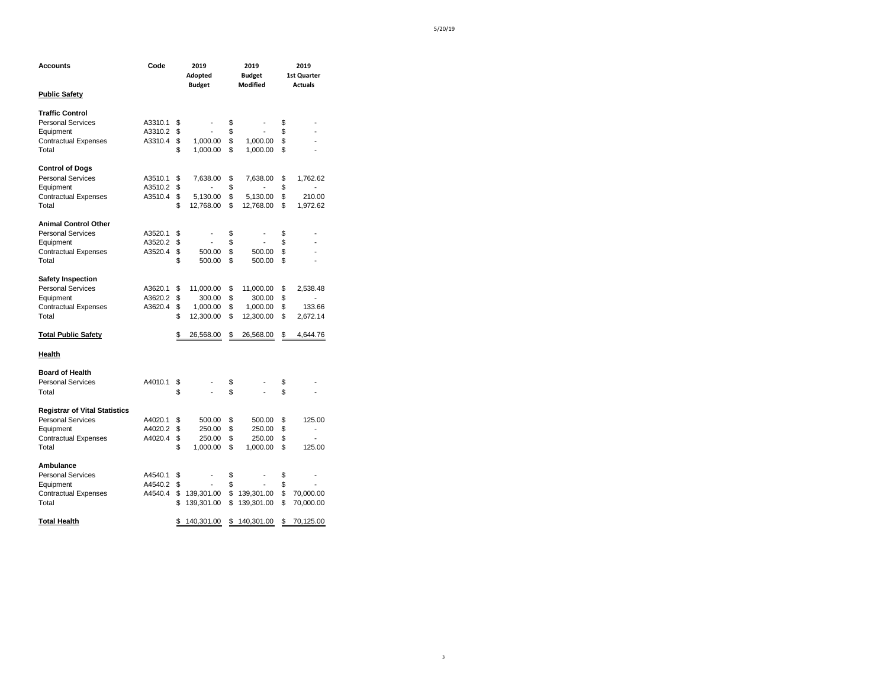3

| Accounts                             | Code    | 2019<br>Adopted<br><b>Budget</b> | 2019<br><b>Budget</b><br>Modified | 2019<br><b>1st Quarter</b><br><b>Actuals</b> |
|--------------------------------------|---------|----------------------------------|-----------------------------------|----------------------------------------------|
| <b>Public Safety</b>                 |         |                                  |                                   |                                              |
| <b>Traffic Control</b>               |         |                                  |                                   |                                              |
| <b>Personal Services</b>             | A3310.1 | \$                               | \$                                | \$                                           |
| Equipment                            | A3310.2 | \$                               | \$                                | \$                                           |
| <b>Contractual Expenses</b>          | A3310.4 | \$<br>1,000.00                   | \$<br>1,000.00                    | \$                                           |
| Total                                |         | \$<br>1,000.00                   | \$<br>1,000.00                    | \$                                           |
| <b>Control of Dogs</b>               |         |                                  |                                   |                                              |
| <b>Personal Services</b>             | A3510.1 | \$<br>7,638.00                   | \$<br>7,638.00                    | \$<br>1,762.62                               |
| Equipment                            | A3510.2 | \$                               | \$<br>$\overline{a}$              | \$<br>÷                                      |
| <b>Contractual Expenses</b>          | A3510.4 | \$<br>5,130.00                   | \$<br>5,130.00                    | \$<br>210.00                                 |
| Total                                |         | \$<br>12,768.00                  | \$<br>12,768.00                   | \$<br>1,972.62                               |
| <b>Animal Control Other</b>          |         |                                  |                                   |                                              |
| <b>Personal Services</b>             | A3520.1 | \$<br>۰                          | \$                                | \$                                           |
| Equipment                            | A3520.2 | \$                               | \$                                | \$                                           |
| <b>Contractual Expenses</b>          | A3520.4 | \$<br>500.00                     | \$<br>500.00                      | \$                                           |
| Total                                |         | \$<br>500.00                     | \$<br>500.00                      | \$                                           |
| <b>Safety Inspection</b>             |         |                                  |                                   |                                              |
| <b>Personal Services</b>             | A3620.1 | \$<br>11,000.00                  | \$<br>11,000.00                   | \$<br>2,538.48                               |
| Equipment                            | A3620.2 | \$<br>300.00                     | \$<br>300.00                      | \$                                           |
| <b>Contractual Expenses</b>          | A3620.4 | \$<br>1,000.00                   | \$<br>1,000.00                    | \$<br>133.66                                 |
| Total                                |         | \$<br>12,300.00                  | \$<br>12,300.00                   | \$<br>2,672.14                               |
| <b>Total Public Safety</b>           |         | \$<br>26,568.00                  | \$<br>26,568.00                   | \$<br>4,644.76                               |
| Health                               |         |                                  |                                   |                                              |
| <b>Board of Health</b>               |         |                                  |                                   |                                              |
| <b>Personal Services</b>             | A4010.1 | \$                               | \$                                | \$                                           |
| Total                                |         | \$<br>÷,                         | \$<br>÷,                          | \$                                           |
| <b>Registrar of Vital Statistics</b> |         |                                  |                                   |                                              |
| <b>Personal Services</b>             | A4020.1 | \$<br>500.00                     | \$<br>500.00                      | \$<br>125.00                                 |
| Equipment                            | A4020.2 | \$<br>250.00                     | \$<br>250.00                      | \$<br>L                                      |
| <b>Contractual Expenses</b>          | A4020.4 | \$<br>250.00                     | \$<br>250.00                      | \$                                           |
| Total                                |         | \$<br>1,000.00                   | \$<br>1,000.00                    | \$<br>125.00                                 |
| Ambulance                            |         |                                  |                                   |                                              |
| <b>Personal Services</b>             | A4540.1 | \$<br>$\overline{\phantom{a}}$   | \$<br>$\overline{\phantom{m}}$    | \$                                           |
| Equipment                            | A4540.2 | \$                               | \$                                | \$                                           |
| <b>Contractual Expenses</b>          | A4540.4 | \$<br>139,301.00                 | \$<br>139,301.00                  | \$<br>70,000.00                              |
| Total                                |         | \$<br>139,301.00                 | \$<br>139,301.00                  | \$<br>70,000.00                              |
| <b>Total Health</b>                  |         | \$<br>140,301.00                 | \$<br>140,301.00                  | \$<br>70,125.00                              |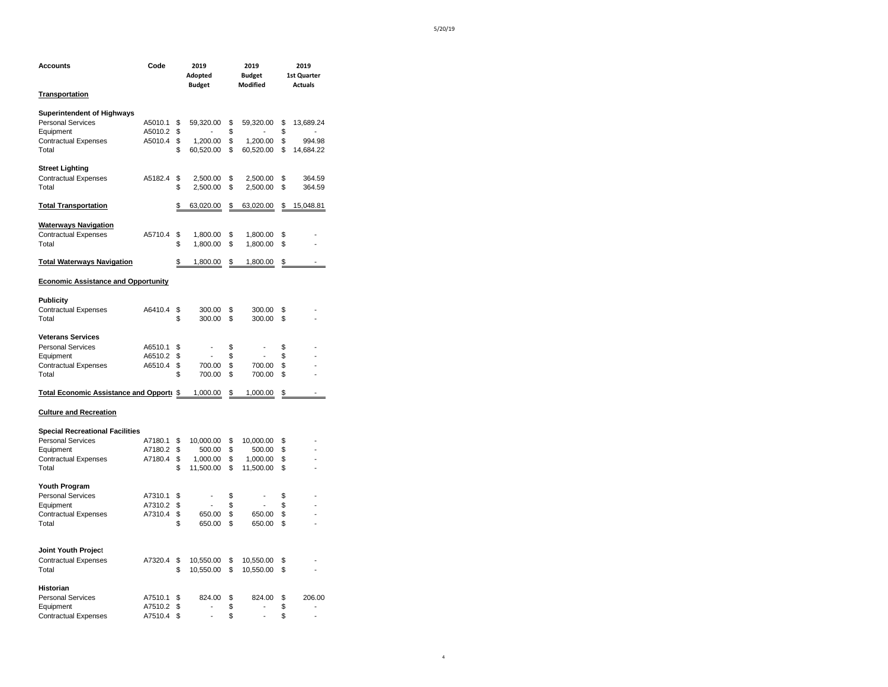| Accounts                                   | Code    |          | 2019<br>Adopted<br><b>Budget</b> |          | 2019<br><b>Budget</b><br>Modified |          | 2019<br>1st Quarter<br><b>Actuals</b> |
|--------------------------------------------|---------|----------|----------------------------------|----------|-----------------------------------|----------|---------------------------------------|
| <b>Transportation</b>                      |         |          |                                  |          |                                   |          |                                       |
| <b>Superintendent of Highways</b>          |         |          |                                  |          |                                   |          |                                       |
| <b>Personal Services</b>                   | A5010.1 | \$       | 59,320.00                        | \$       | 59,320.00                         | \$       | 13,689.24                             |
| Equipment                                  | A5010.2 | \$       |                                  | \$       |                                   | \$       |                                       |
| <b>Contractual Expenses</b>                | A5010.4 | \$       | 1,200.00                         | \$       | 1,200.00                          | \$       | 994.98                                |
| Total                                      |         | \$       | 60,520.00                        | \$       | 60,520.00                         | \$       | 14,684.22                             |
| <b>Street Lighting</b>                     |         |          |                                  |          |                                   |          |                                       |
| <b>Contractual Expenses</b>                | A5182.4 | \$       | 2,500.00                         | \$       | 2,500.00                          | \$       | 364.59                                |
| Total                                      |         | \$       | 2,500.00                         | \$       | 2,500.00                          | \$       | 364.59                                |
| <b>Total Transportation</b>                |         | \$       | 63,020.00                        | \$       | 63,020.00                         | \$       | 15,048.81                             |
| <b>Waterways Navigation</b>                |         |          |                                  |          |                                   |          |                                       |
| <b>Contractual Expenses</b>                | A5710.4 | \$       | 1,800.00                         | \$       | 1,800.00                          | \$       |                                       |
| Total                                      |         | \$       | 1,800.00                         | \$       | 1,800.00                          | \$       |                                       |
| <b>Total Waterways Navigation</b>          |         | \$       | 1,800.00                         | \$       | 1,800.00                          | \$       | L.                                    |
| <b>Economic Assistance and Opportunity</b> |         |          |                                  |          |                                   |          |                                       |
|                                            |         |          |                                  |          |                                   |          |                                       |
| <b>Publicity</b>                           |         |          |                                  |          |                                   |          |                                       |
| <b>Contractual Expenses</b><br>Total       | A6410.4 | \$<br>\$ | 300.00<br>300.00                 | \$<br>\$ | 300.00<br>300.00                  | \$<br>\$ |                                       |
| <b>Veterans Services</b>                   |         |          |                                  |          |                                   |          |                                       |
| <b>Personal Services</b>                   | A6510.1 | \$       |                                  | \$       | $\overline{\phantom{a}}$          | \$       |                                       |
| Equipment                                  | A6510.2 | \$       |                                  | \$       |                                   | \$       |                                       |
| <b>Contractual Expenses</b>                | A6510.4 | \$       | 700.00                           | \$       | 700.00                            | \$       |                                       |
| Total                                      |         | \$       | 700.00                           | \$       | 700.00                            | \$       |                                       |
| Total Economic Assistance and Opporti \$   |         |          | 1,000.00                         | \$       | 1,000.00                          | \$       | L.                                    |
| <b>Culture and Recreation</b>              |         |          |                                  |          |                                   |          |                                       |
| <b>Special Recreational Facilities</b>     |         |          |                                  |          |                                   |          |                                       |
| <b>Personal Services</b>                   | A7180.1 | \$       | 10,000.00                        | \$       | 10,000.00                         | \$       |                                       |
| Equipment                                  | A7180.2 | \$       | 500.00                           | \$       | 500.00                            | \$       |                                       |
| <b>Contractual Expenses</b>                | A7180.4 | \$       | 1,000.00                         | \$       | 1,000.00                          | \$       |                                       |
| Total                                      |         | \$       | 11,500.00                        | \$       | 11,500.00                         | \$       |                                       |
| Youth Program                              |         |          |                                  |          |                                   |          |                                       |
| <b>Personal Services</b>                   | A7310.1 | \$       |                                  | \$       |                                   | \$       |                                       |
| Equipment                                  | A7310.2 | \$       |                                  | \$       |                                   | \$       |                                       |
| <b>Contractual Expenses</b>                | A7310.4 | \$       | 650.00                           | \$       | 650.00                            | \$       |                                       |
| Total                                      |         | \$       | 650.00                           | \$       | 650.00                            | \$       |                                       |
| Joint Youth Project                        |         |          |                                  |          |                                   |          |                                       |
| <b>Contractual Expenses</b>                | A7320.4 | \$       | 10,550.00                        | \$       | 10,550.00                         | \$       |                                       |
| Total                                      |         | \$       | 10,550.00                        | \$       | 10,550.00                         | \$       |                                       |
| Historian                                  |         |          |                                  |          |                                   |          |                                       |
| <b>Personal Services</b>                   | A7510.1 | \$       | 824.00                           | \$       | 824.00                            | \$       | 206.00                                |
| Equipment                                  | A7510.2 | \$       | $\overline{\phantom{a}}$         | \$       | $\overline{a}$                    | \$       | $\overline{a}$                        |
| <b>Contractual Expenses</b>                | A7510.4 | \$       | $\overline{a}$                   | \$       | $\overline{a}$                    | \$       | L,                                    |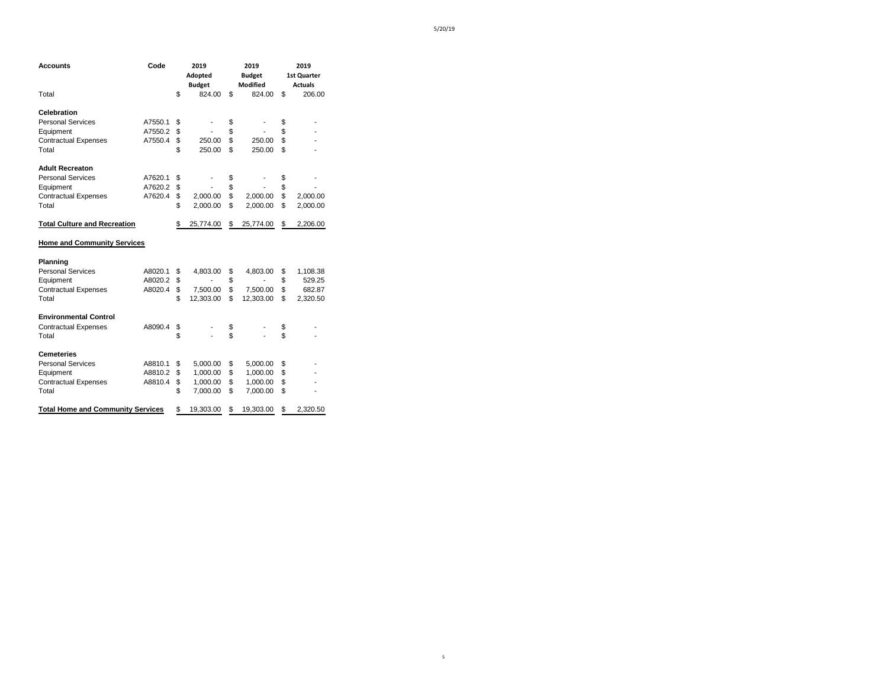| Accounts                                 | Code    | 2019<br>Adopted<br><b>Budget</b> | 2019<br><b>Budget</b><br><b>Modified</b> | 2019<br><b>1st Quarter</b><br><b>Actuals</b> |
|------------------------------------------|---------|----------------------------------|------------------------------------------|----------------------------------------------|
| Total                                    |         | \$<br>824.00                     | \$<br>824.00                             | \$<br>206.00                                 |
| Celebration                              |         |                                  |                                          |                                              |
| <b>Personal Services</b>                 | A7550.1 | \$<br>$\overline{\phantom{a}}$   | \$                                       | \$                                           |
| Equipment                                | A7550.2 | \$                               | \$                                       | \$                                           |
| <b>Contractual Expenses</b>              | A7550.4 | \$<br>250.00                     | \$<br>250.00                             | \$                                           |
| Total                                    |         | \$<br>250.00                     | \$<br>250.00                             | \$                                           |
| <b>Adult Recreaton</b>                   |         |                                  |                                          |                                              |
| <b>Personal Services</b>                 | A7620.1 | \$                               | \$                                       | \$                                           |
| Equipment                                | A7620.2 | \$                               | \$                                       | \$                                           |
| <b>Contractual Expenses</b>              | A7620.4 | \$<br>2,000.00                   | \$<br>2.000.00                           | \$<br>2,000.00                               |
| Total                                    |         | \$<br>2,000.00                   | \$<br>2,000.00                           | \$<br>2,000.00                               |
| <b>Total Culture and Recreation</b>      |         | \$<br>25,774.00                  | \$<br>25,774.00                          | \$<br>2,206.00                               |
| <b>Home and Community Services</b>       |         |                                  |                                          |                                              |
| Planning                                 |         |                                  |                                          |                                              |
| <b>Personal Services</b>                 | A8020.1 | \$<br>4,803.00                   | \$<br>4,803.00                           | \$<br>1,108.38                               |
| Equipment                                | A8020.2 | \$                               | \$                                       | \$<br>529.25                                 |
| <b>Contractual Expenses</b>              | A8020.4 | \$<br>7,500.00                   | \$<br>7,500.00                           | \$<br>682.87                                 |
| Total                                    |         | \$<br>12,303.00                  | \$<br>12,303.00                          | \$<br>2,320.50                               |
| <b>Environmental Control</b>             |         |                                  |                                          |                                              |
| <b>Contractual Expenses</b>              | A8090.4 | \$                               | \$                                       | \$                                           |
| Total                                    |         | \$                               | \$                                       | \$                                           |
| <b>Cemeteries</b>                        |         |                                  |                                          |                                              |
| <b>Personal Services</b>                 | A8810.1 | \$<br>5,000.00                   | \$<br>5,000.00                           | \$                                           |
| Equipment                                | A8810.2 | \$<br>1,000.00                   | \$<br>1,000.00                           | \$                                           |
| <b>Contractual Expenses</b>              | A8810.4 | \$<br>1,000.00                   | \$<br>1,000.00                           | \$                                           |
| Total                                    |         | \$<br>7,000.00                   | \$<br>7,000.00                           | \$                                           |
| <b>Total Home and Community Services</b> |         | \$<br>19,303.00                  | \$<br>19,303.00                          | \$<br>2,320.50                               |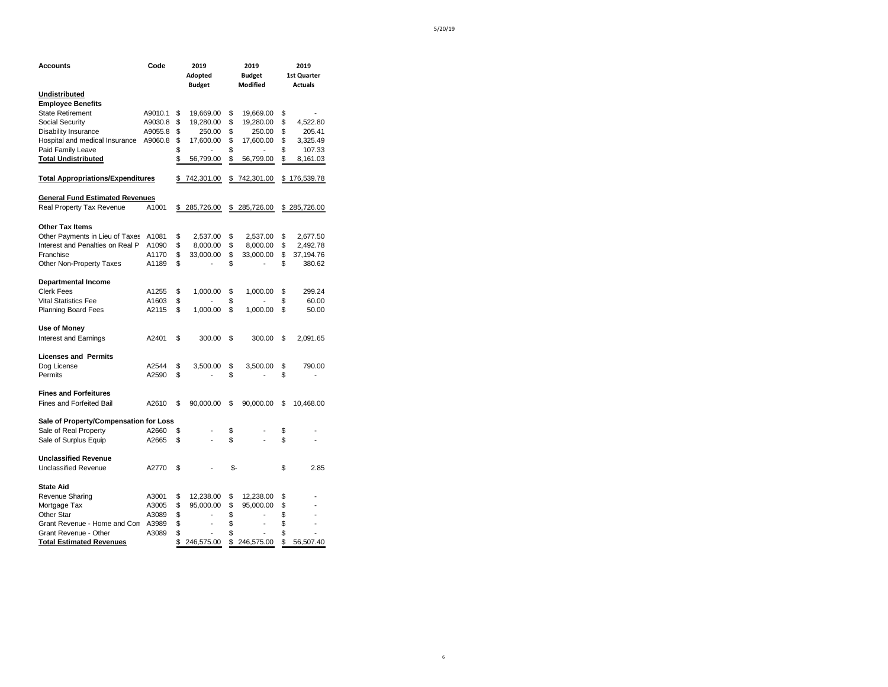| <b>Accounts</b>                          | Code    | 2019<br>Adopted<br><b>Budget</b> |     | 2019<br><b>Budget</b><br>Modified | 2019<br><b>1st Quarter</b><br><b>Actuals</b> |
|------------------------------------------|---------|----------------------------------|-----|-----------------------------------|----------------------------------------------|
| Undistributed                            |         |                                  |     |                                   |                                              |
| <b>Employee Benefits</b>                 |         |                                  |     |                                   |                                              |
| <b>State Retirement</b>                  | A9010.1 | \$<br>19,669.00                  | \$  | 19,669.00                         | \$                                           |
| Social Security                          | A9030.8 | \$<br>19,280.00                  | \$  | 19,280.00                         | \$<br>4,522.80                               |
| Disability Insurance                     | A9055.8 | \$<br>250.00                     | \$  | 250.00                            | \$<br>205.41                                 |
| Hospital and medical Insurance           | A9060.8 | \$<br>17,600.00                  | \$  | 17,600.00                         | \$<br>3,325.49                               |
| Paid Family Leave                        |         | \$                               | \$  |                                   | \$<br>107.33                                 |
| <b>Total Undistributed</b>               |         | \$<br>56,799.00                  | \$  | 56,799.00                         | \$<br>8,161.03                               |
| <b>Total Appropriations/Expenditures</b> |         | \$<br>742,301.00                 |     | \$742,301.00                      | \$176,539.78                                 |
| <b>General Fund Estimated Revenues</b>   |         |                                  |     |                                   |                                              |
| Real Property Tax Revenue                | A1001   | \$<br>285,726.00                 | \$  | 285,726.00                        | \$285,726.00                                 |
| <b>Other Tax Items</b>                   |         |                                  |     |                                   |                                              |
| Other Payments in Lieu of Taxes          | A1081   | \$<br>2,537.00                   | \$  | 2,537.00                          | \$<br>2,677.50                               |
| Interest and Penalties on Real P         | A1090   | \$<br>8,000.00                   | \$  | 8,000.00                          | \$<br>2,492.78                               |
| Franchise                                | A1170   | \$<br>33,000.00                  | \$  | 33,000.00                         | \$<br>37,194.76                              |
| Other Non-Property Taxes                 | A1189   | \$                               | \$  |                                   | \$<br>380.62                                 |
| <b>Departmental Income</b>               |         |                                  |     |                                   |                                              |
| <b>Clerk Fees</b>                        | A1255   | \$<br>1,000.00                   | \$  | 1,000.00                          | \$<br>299.24                                 |
| <b>Vital Statistics Fee</b>              | A1603   | \$                               | \$  |                                   | \$<br>60.00                                  |
| <b>Planning Board Fees</b>               | A2115   | \$<br>1,000.00                   | \$  | 1,000.00                          | \$<br>50.00                                  |
| Use of Money                             |         |                                  |     |                                   |                                              |
| Interest and Earnings                    | A2401   | \$<br>300.00                     | \$  | 300.00                            | \$<br>2,091.65                               |
| <b>Licenses and Permits</b>              |         |                                  |     |                                   |                                              |
| Dog License                              | A2544   | \$<br>3,500.00                   | \$  | 3,500.00                          | \$<br>790.00                                 |
| Permits                                  | A2590   | \$                               | \$  |                                   | \$                                           |
| <b>Fines and Forfeitures</b>             |         |                                  |     |                                   |                                              |
| Fines and Forfeited Bail                 | A2610   | \$<br>90,000.00                  | \$  | 90,000.00                         | \$<br>10,468.00                              |
| Sale of Property/Compensation for Loss   |         |                                  |     |                                   |                                              |
| Sale of Real Property                    | A2660   | \$                               | \$  |                                   | \$                                           |
| Sale of Surplus Equip                    | A2665   | \$                               | \$  |                                   | \$                                           |
| <b>Unclassified Revenue</b>              |         |                                  |     |                                   |                                              |
| <b>Unclassified Revenue</b>              | A2770   | \$                               | \$- |                                   | \$<br>2.85                                   |
| <b>State Aid</b>                         |         |                                  |     |                                   |                                              |
| Revenue Sharing                          | A3001   | \$<br>12,238.00                  | \$  | 12,238.00                         | \$                                           |
| Mortgage Tax                             | A3005   | \$<br>95,000.00                  | \$  | 95,000.00                         | \$                                           |
| Other Star                               | A3089   | \$                               | \$  |                                   | \$                                           |
| Grant Revenue - Home and Con             | A3989   | \$<br>$\overline{a}$             | \$  | $\qquad \qquad \blacksquare$      | \$                                           |
| Grant Revenue - Other                    | A3089   | \$<br>$\overline{a}$             | \$  |                                   | \$                                           |
| <b>Total Estimated Revenues</b>          |         | \$<br>246,575.00                 | \$  | 246,575.00                        | \$<br>56,507.40                              |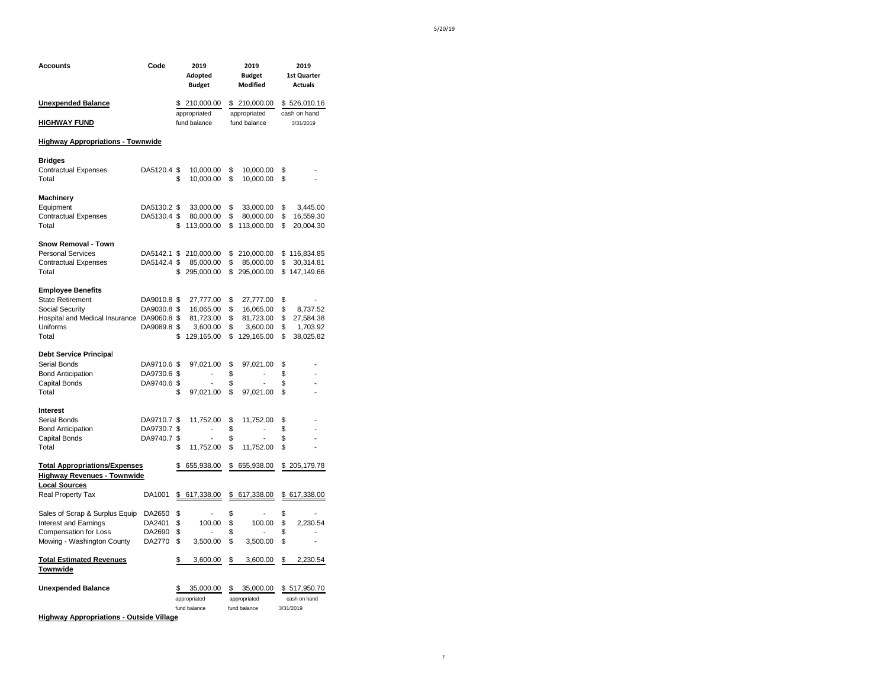| Accounts                                                                                                                                         | Code                                      |                      | 2019<br>Adopted<br><b>Budget</b>                              |                            | 2019<br><b>Budget</b><br>Modified                             |                            | 2019<br>1st Quarter<br><b>Actuals</b>                  |
|--------------------------------------------------------------------------------------------------------------------------------------------------|-------------------------------------------|----------------------|---------------------------------------------------------------|----------------------------|---------------------------------------------------------------|----------------------------|--------------------------------------------------------|
| <b>Unexpended Balance</b>                                                                                                                        |                                           |                      | \$ 210,000.00<br>appropriated                                 |                            | \$ 210,000.00<br>appropriated                                 |                            | \$526,010.16<br>cash on hand                           |
| <b>HIGHWAY FUND</b>                                                                                                                              |                                           |                      | fund balance                                                  |                            | fund balance                                                  |                            | 3/31/2019                                              |
| <b>Highway Appropriations - Townwide</b>                                                                                                         |                                           |                      |                                                               |                            |                                                               |                            |                                                        |
| <b>Bridges</b><br><b>Contractual Expenses</b><br>Total                                                                                           | DA5120.4 \$                               | \$                   | 10,000.00<br>10,000.00                                        | \$<br>\$                   | 10,000.00<br>10,000.00                                        | \$<br>\$                   |                                                        |
| Machinery<br>Equipment<br><b>Contractual Expenses</b><br>Total                                                                                   | DA5130.2 \$<br>DA5130.4 \$                | \$                   | 33,000.00<br>80,000.00<br>113,000.00                          | \$<br>\$<br>\$             | 33,000.00<br>80,000.00<br>113,000.00                          | \$<br>\$<br>\$             | 3,445.00<br>16,559.30<br>20,004.30                     |
| <b>Snow Removal - Town</b><br><b>Personal Services</b><br><b>Contractual Expenses</b><br>Total                                                   | DA5142.1 \$<br>DA5142.4 \$                | \$                   | 210,000.00<br>85,000.00<br>295,000.00                         | \$<br>\$<br>\$             | 210,000.00<br>85,000.00<br>295,000.00                         | \$                         | \$116,834.85<br>30,314.81<br>\$147,149.66              |
| <b>Employee Benefits</b><br><b>State Retirement</b><br><b>Social Security</b><br>Hospital and Medical Insurance DA9060.8 \$<br>Uniforms<br>Total | DA9010.8 \$<br>DA9030.8 \$<br>DA9089.8 \$ | \$                   | 27,777.00<br>16,065.00<br>81,723.00<br>3,600.00<br>129,165.00 | \$<br>\$<br>\$<br>\$<br>\$ | 27,777.00<br>16,065.00<br>81,723.00<br>3,600.00<br>129,165.00 | \$<br>\$<br>\$<br>\$<br>\$ | 8,737.52<br>27,584.38<br>1,703.92<br>38,025.82         |
| <b>Debt Service Principal</b>                                                                                                                    |                                           |                      |                                                               |                            |                                                               |                            |                                                        |
| Serial Bonds<br><b>Bond Anticipation</b><br>Capital Bonds<br>Total                                                                               | DA9710.6 \$<br>DA9730.6 \$<br>DA9740.6 \$ | \$                   | 97,021.00<br>$\overline{\phantom{a}}$<br>97,021.00            | \$<br>\$<br>\$<br>\$       | 97,021.00<br>$\overline{\phantom{a}}$<br>97,021.00            | \$<br>\$<br>\$<br>\$       |                                                        |
| Interest<br>Serial Bonds<br><b>Bond Anticipation</b><br>Capital Bonds<br>Total                                                                   | DA9710.7 \$<br>DA9730.7 \$<br>DA9740.7 \$ | \$                   | 11,752.00<br>L,<br>11,752.00                                  | \$<br>\$<br>\$<br>\$       | 11,752.00<br>$\overline{a}$<br>11,752.00                      | \$<br>\$<br>\$<br>\$       |                                                        |
| <b>Total Appropriations/Expenses</b><br><b>Highway Revenues - Townwide</b>                                                                       |                                           | \$                   | 655,938.00                                                    |                            | \$ 655,938.00                                                 |                            | \$205,179.78                                           |
| <b>Local Sources</b><br><b>Real Property Tax</b>                                                                                                 | DA1001                                    | \$                   | 617,338.00                                                    | \$                         | 617,338.00                                                    |                            | \$617,338.00                                           |
| Sales of Scrap & Surplus Equip<br>Interest and Earnings<br>Compensation for Loss<br>Mowing - Washington County                                   | DA2650<br>DA2401<br>DA2690<br>DA2770      | \$<br>\$<br>\$<br>\$ | 100.00<br>3,500.00                                            | \$<br>\$<br>\$<br>\$       | 100.00<br>3,500.00                                            | \$<br>\$<br>\$<br>\$       | 2,230.54<br>$\overline{\phantom{a}}$<br>$\overline{a}$ |
| <b>Total Estimated Revenues</b><br>Townwide                                                                                                      |                                           | \$                   | 3,600.00                                                      | \$                         | 3,600.00                                                      | \$                         | 2,230.54                                               |
| <b>Unexpended Balance</b>                                                                                                                        |                                           | S.                   | 35,000.00<br>appropriated<br>fund balance                     | \$                         | 35,000.00<br>appropriated<br>fund balance                     |                            | \$517,950.70<br>cash on hand<br>3/31/2019              |

**Highway Appropriations - Outside Village**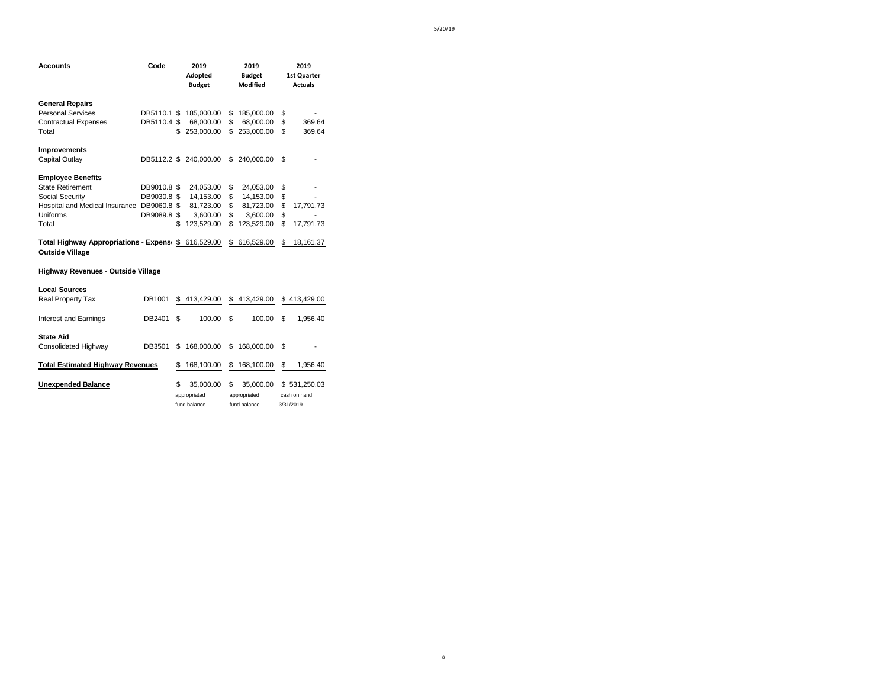| <b>Accounts</b>                                                     | Code        |     | 2019<br>Adopted<br><b>Budget</b> | 2019<br><b>Budget</b><br>Modified | 2019<br><b>1st Quarter</b><br><b>Actuals</b> |
|---------------------------------------------------------------------|-------------|-----|----------------------------------|-----------------------------------|----------------------------------------------|
| <b>General Repairs</b>                                              |             |     |                                  |                                   |                                              |
| <b>Personal Services</b>                                            | DB5110.1 \$ |     | 185,000.00                       | \$<br>185,000.00                  | \$                                           |
| <b>Contractual Expenses</b>                                         | DB5110.4 \$ |     | 68,000.00                        | \$<br>68,000.00                   | \$<br>369.64                                 |
| Total                                                               |             | \$  | 253,000.00                       | \$<br>253,000.00                  | \$<br>369.64                                 |
| Improvements                                                        |             |     |                                  |                                   |                                              |
| Capital Outlay                                                      |             |     | DB5112.2 \$ 240,000.00           | \$ 240,000.00                     | \$                                           |
| <b>Employee Benefits</b>                                            |             |     |                                  |                                   |                                              |
| <b>State Retirement</b>                                             | DB9010.8 \$ |     | 24,053.00                        | \$<br>24,053.00                   | \$                                           |
| Social Security                                                     | DB9030.8 \$ |     | 14,153.00                        | \$<br>14,153.00                   | \$                                           |
| Hospital and Medical Insurance DB9060.8 \$                          |             |     | 81,723.00                        | \$<br>81,723.00                   | \$<br>17,791.73                              |
| Uniforms                                                            | DB9089.8 \$ |     | 3,600.00                         | \$<br>3,600.00                    | \$                                           |
| Total                                                               |             | \$  | 123,529.00                       | \$<br>123,529.00                  | \$<br>17,791.73                              |
| Total Highway Appropriations - Expense \$<br><b>Outside Village</b> |             |     | 616,529.00                       | \$<br>616,529.00                  | \$<br>18,161.37                              |
| Highway Revenues - Outside Village                                  |             |     |                                  |                                   |                                              |
| <b>Local Sources</b>                                                |             |     |                                  |                                   |                                              |
| <b>Real Property Tax</b>                                            | DB1001      | \$  | 413,429.00                       | \$<br>413,429.00                  | \$413,429.00                                 |
| Interest and Earnings                                               | DB2401      | \$. | 100.00                           | \$<br>100.00                      | \$<br>1,956.40                               |
| <b>State Aid</b>                                                    |             |     |                                  |                                   |                                              |
| Consolidated Highway                                                | DB3501      | S   | 168,000.00                       | \$<br>168,000.00                  | \$                                           |
| <b>Total Estimated Highway Revenues</b>                             |             | S   | 168,100.00                       | \$<br>168,100.00                  | \$<br>1,956.40                               |
|                                                                     |             |     |                                  |                                   |                                              |

| Unexpended Balance |  |
|--------------------|--|

**Unexpended Balance** \$ 35,000.00 \$ 35,000.00 \$ 531,250.03 appropriated appropriated cash on hand<br>
fund balance fund balance 3/31/2019 fund balance fund balance